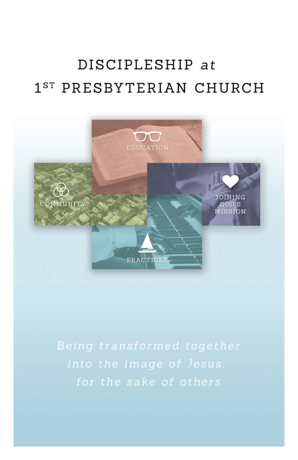# DISCIPLESHIP at 1<sup>ST</sup> PRESBYTERIAN CHURCH

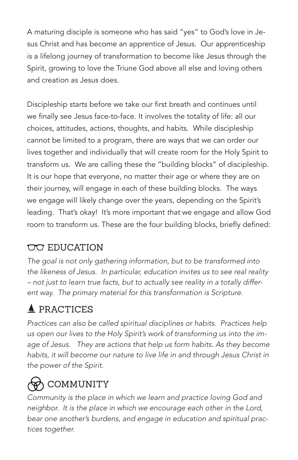A maturing disciple is someone who has said "yes" to God's love in Jesus Christ and has become an apprentice of Jesus. Our apprenticeship is a lifelong journey of transformation to become like Jesus through the Spirit, growing to love the Triune God above all else and loving others and creation as Jesus does.

Discipleship starts before we take our first breath and continues until we finally see Jesus face-to-face. It involves the totality of life: all our choices, attitudes, actions, thoughts, and habits. While discipleship cannot be limited to a program, there are ways that we can order our lives together and individually that will create room for the Holy Spirit to transform us. We are calling these the "building blocks" of discipleship. It is our hope that everyone, no matter their age or where they are on their journey, will engage in each of these building blocks. The ways we engage will likely change over the years, depending on the Spirit's leading. That's okay! It's more important that we engage and allow God room to transform us. These are the four building blocks, briefly defined:

### **OO** EDUCATION

The goal is not only gathering information, but to be transformed into the likeness of Jesus. In particular, education invites us to see real reality – not just to learn true facts, but to actually see reality in a totally different way. The primary material for this transformation is Scripture.

## $\triangle$  PRACTICES

Practices can also be called spiritual disciplines or habits. Practices help us open our lives to the Holy Spirit's work of transforming us into the image of Jesus. They are actions that help us form habits. As they become habits, it will become our nature to live life in and through Jesus Christ in the power of the Spirit.

## <u>ል</u> COMMUNITY

Community is the place in which we learn and practice loving God and neighbor. It is the place in which we encourage each other in the Lord, bear one another's burdens, and engage in education and spiritual practices together.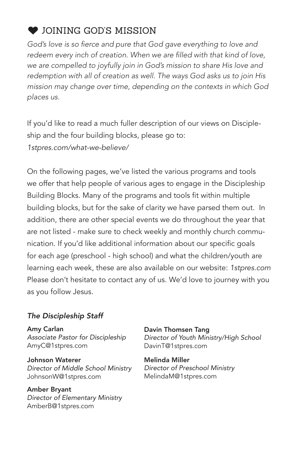### JOINING GOD'S MISSION 6

God's love is so fierce and pure that God gave everything to love and redeem every inch of creation. When we are filled with that kind of love, we are compelled to joyfully join in God's mission to share His love and redemption with all of creation as well. The ways God asks us to join His mission may change over time, depending on the contexts in which God places us.

If you'd like to read a much fuller description of our views on Discipleship and the four building blocks, please go to: 1stpres.com/what-we-believe/

On the following pages, we've listed the various programs and tools we offer that help people of various ages to engage in the Discipleship Building Blocks. Many of the programs and tools fit within multiple building blocks, but for the sake of clarity we have parsed them out. In addition, there are other special events we do throughout the year that are not listed - make sure to check weekly and monthly church communication. If you'd like additional information about our specific goals for each age (preschool - high school) and what the children/youth are learning each week, these are also available on our website: 1stpres.com Please don't hesitate to contact any of us. We'd love to journey with you as you follow Jesus.

#### The Discipleship Staff

Amy Carlan Associate Pastor for Discipleship AmyC@1stpres.com

Johnson Waterer Director of Middle School Ministry JohnsonW@1stpres.com

Amber Bryant Director of Elementary Ministry AmberB@1stpres.com

Davin Thomsen Tang Director of Youth Ministry/High School DavinT@1stpres.com

Melinda Miller Director of Preschool Ministry MelindaM@1stpres.com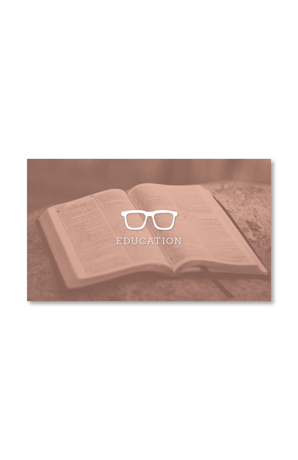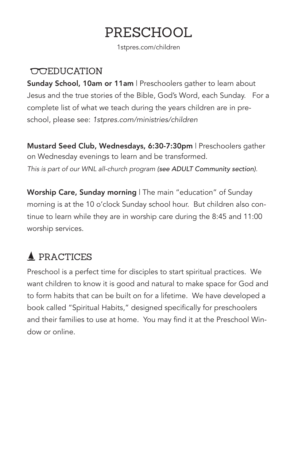## PRESCHOOL

1stpres.com/children

#### **COLEDUCATION**

Sunday School, 10am or 11am | Preschoolers gather to learn about Jesus and the true stories of the Bible, God's Word, each Sunday. For a complete list of what we teach during the years children are in preschool, please see: 1stpres.com/ministries/children

Mustard Seed Club, Wednesdays, 6:30-7:30pm | Preschoolers gather on Wednesday evenings to learn and be transformed. This is part of our WNL all-church program (see ADULT Community section).

Worship Care, Sunday morning | The main "education" of Sunday morning is at the 10 o'clock Sunday school hour. But children also continue to learn while they are in worship care during the 8:45 and 11:00 worship services.

### **A** PRACTICES

Preschool is a perfect time for disciples to start spiritual practices. We want children to know it is good and natural to make space for God and to form habits that can be built on for a lifetime. We have developed a book called "Spiritual Habits," designed specifically for preschoolers and their families to use at home. You may find it at the Preschool Window or online.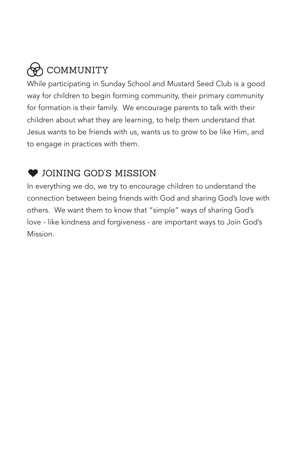## COMMUNITY

While participating in Sunday School and Mustard Seed Club is a good way for children to begin forming community, their primary community for formation is their family. We encourage parents to talk with their children about what they are learning, to help them understand that Jesus wants to be friends with us, wants us to grow to be like Him, and to engage in practices with them.

### **COINING GOD'S MISSION**

In everything we do, we try to encourage children to understand the connection between being friends with God and sharing God's love with others. We want them to know that "simple" ways of sharing God's love - like kindness and forgiveness - are important ways to Join God's Mission.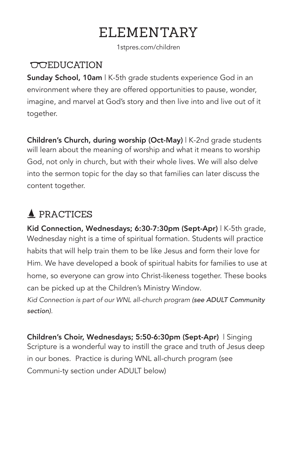## ELEMENTARY

1stpres.com/children

### **COCEDUCATION**

Sunday School, 10am | K-5th grade students experience God in an environment where they are offered opportunities to pause, wonder, imagine, and marvel at God's story and then live into and live out of it together.

Children's Church, during worship (Oct-May) | K-2nd grade students will learn about the meaning of worship and what it means to worship God, not only in church, but with their whole lives. We will also delve into the sermon topic for the day so that families can later discuss the content together.

### **A** PRACTICES

Kid Connection, Wednesdays; 6:30-7:30pm (Sept-Apr) | K-5th grade, Wednesday night is a time of spiritual formation. Students will practice habits that will help train them to be like Jesus and form their love for Him. We have developed a book of spiritual habits for families to use at home, so everyone can grow into Christ-likeness together. These books can be picked up at the Children's Ministry Window. Kid Connection is part of our WNL all-church program (see ADULT Community

section).

Children's Choir, Wednesdays; 5:50-6:30pm (Sept-Apr) | Singing Scripture is a wonderful way to instill the grace and truth of Jesus deep in our bones. Practice is during WNL all-church program (see Communi-ty section under ADULT below)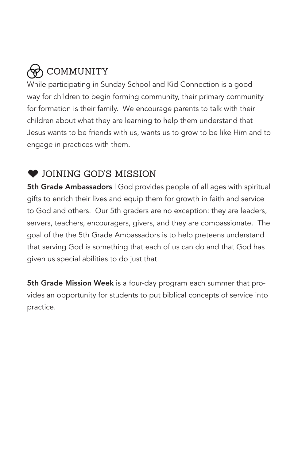## COMMUNITY

While participating in Sunday School and Kid Connection is a good way for children to begin forming community, their primary community for formation is their family. We encourage parents to talk with their children about what they are learning to help them understand that Jesus wants to be friends with us, wants us to grow to be like Him and to engage in practices with them.

### $\bullet$  JOINING GOD'S MISSION

**5th Grade Ambassadors** | God provides people of all ages with spiritual gifts to enrich their lives and equip them for growth in faith and service to God and others. Our 5th graders are no exception: they are leaders, servers, teachers, encouragers, givers, and they are compassionate. The goal of the the 5th Grade Ambassadors is to help preteens understand that serving God is something that each of us can do and that God has given us special abilities to do just that.

5th Grade Mission Week is a four-day program each summer that provides an opportunity for students to put biblical concepts of service into practice.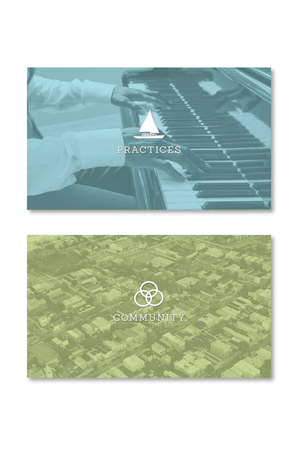

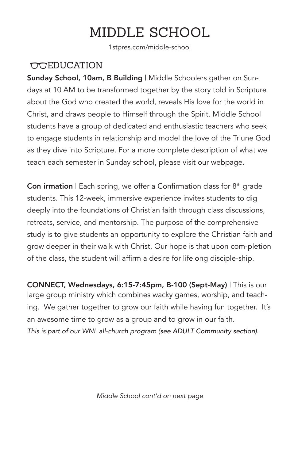## MIDDLE SCHOOL

1stpres.com/middle-school

#### **COEDUCATION**

Sunday School, 10am, B Building | Middle Schoolers gather on Sundays at 10 AM to be transformed together by the story told in Scripture about the God who created the world, reveals His love for the world in Christ, and draws people to Himself through the Spirit. Middle School students have a group of dedicated and enthusiastic teachers who seek to engage students in relationship and model the love of the Triune God as they dive into Scripture. For a more complete description of what we teach each semester in Sunday school, please visit our webpage.

**Con irmation** | Each spring, we offer a Confirmation class for  $8<sup>th</sup>$  grade students. This 12-week, immersive experience invites students to dig deeply into the foundations of Christian faith through class discussions, retreats, service, and mentorship. The purpose of the comprehensive study is to give students an opportunity to explore the Christian faith and grow deeper in their walk with Christ. Our hope is that upon com-pletion of the class, the student will affirm a desire for lifelong disciple-ship.

CONNECT, Wednesdays, 6:15-7:45pm, B-100 (Sept-May) | This is our large group ministry which combines wacky games, worship, and teaching. We gather together to grow our faith while having fun together. It's an awesome time to grow as a group and to grow in our faith. This is part of our WNL all-church program (see ADULT Community section).

Middle School cont'd on next page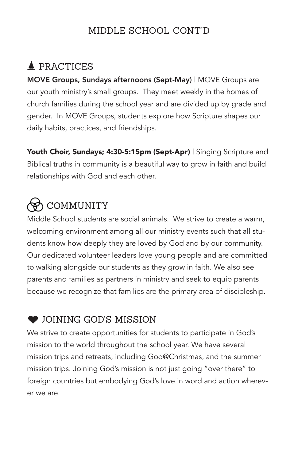### MIDDLE SCHOOL CONT'D

### **A** PRACTICES

MOVE Groups, Sundays afternoons (Sept-May) | MOVE Groups are our youth ministry's small groups. They meet weekly in the homes of church families during the school year and are divided up by grade and gender. In MOVE Groups, students explore how Scripture shapes our daily habits, practices, and friendships.

Youth Choir, Sundays; 4:30-5:15pm (Sept-Apr) | Singing Scripture and Biblical truths in community is a beautiful way to grow in faith and build relationships with God and each other.

## $\rightsquigarrow$  COMMUNITY

Middle School students are social animals. We strive to create a warm, welcoming environment among all our ministry events such that all students know how deeply they are loved by God and by our community. Our dedicated volunteer leaders love young people and are committed to walking alongside our students as they grow in faith. We also see parents and families as partners in ministry and seek to equip parents because we recognize that families are the primary area of discipleship.

### **COINING GOD'S MISSION**

We strive to create opportunities for students to participate in God's mission to the world throughout the school year. We have several mission trips and retreats, including God@Christmas, and the summer mission trips. Joining God's mission is not just going "over there" to foreign countries but embodying God's love in word and action wherever we are.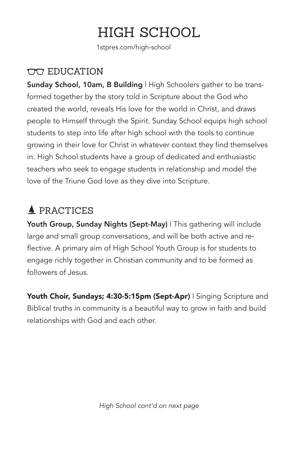## HIGH SCHOOL

1stpres.com/high-school

#### EDUCATION

Sunday School, 10am, B Building | High Schoolers gather to be transformed together by the story told in Scripture about the God who created the world, reveals His love for the world in Christ, and draws people to Himself through the Spirit. Sunday School equips high school students to step into life after high school with the tools to continue growing in their love for Christ in whatever context they find themselves in. High School students have a group of dedicated and enthusiastic teachers who seek to engage students in relationship and model the love of the Triune God love as they dive into Scripture.

### **A** PRACTICES

Youth Group, Sunday Nights (Sept-May) | This gathering will include large and small group conversations, and will be both active and reflective. A primary aim of High School Youth Group is for students to engage richly together in Christian community and to be formed as followers of Jesus.

Youth Choir, Sundays; 4:30-5:15pm (Sept-Apr) | Singing Scripture and Biblical truths in community is a beautiful way to grow in faith and build relationships with God and each other.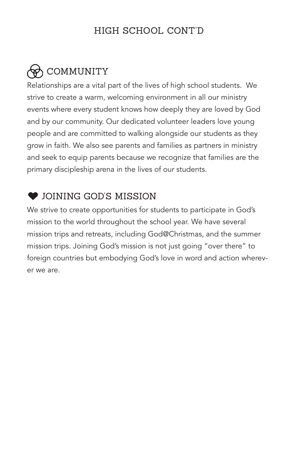### HIGH SCHOOL CONT'D

## COMMUNITY

Relationships are a vital part of the lives of high school students. We strive to create a warm, welcoming environment in all our ministry events where every student knows how deeply they are loved by God and by our community. Our dedicated volunteer leaders love young people and are committed to walking alongside our students as they grow in faith. We also see parents and families as partners in ministry and seek to equip parents because we recognize that families are the primary discipleship arena in the lives of our students.

### $\bullet$  JOINING GOD'S MISSION

We strive to create opportunities for students to participate in God's mission to the world throughout the school year. We have several mission trips and retreats, including God@Christmas, and the summer mission trips. Joining God's mission is not just going "over there" to foreign countries but embodying God's love in word and action wherever we are.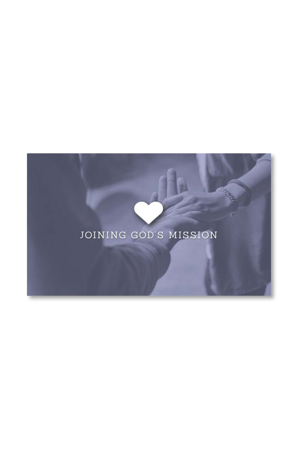## JOINING GOD'S MISSION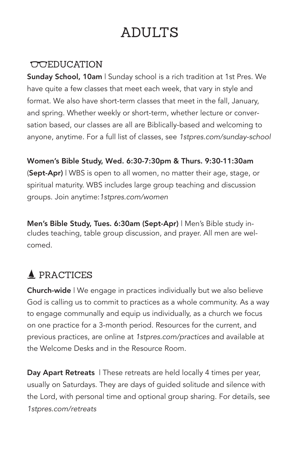## ADULTS

#### **COLEDUCATION**

Sunday School, 10am | Sunday school is a rich tradition at 1st Pres. We have quite a few classes that meet each week, that vary in style and format. We also have short-term classes that meet in the fall, January, and spring. Whether weekly or short-term, whether lecture or conversation based, our classes are all are Biblically-based and welcoming to anyone, anytime. For a full list of classes, see 1stpres.com/sunday-school

Women's Bible Study, Wed. 6:30-7:30pm & Thurs. 9:30-11:30am (Sept-Apr) | WBS is open to all women, no matter their age, stage, or spiritual maturity. WBS includes large group teaching and discussion groups. Join anytime:1stpres.com/women

Men's Bible Study, Tues. 6:30am (Sept-Apr) | Men's Bible study includes teaching, table group discussion, and prayer. All men are welcomed.

### **A** PRACTICES

Church-wide | We engage in practices individually but we also believe God is calling us to commit to practices as a whole community. As a way to engage communally and equip us individually, as a church we focus on one practice for a 3-month period. Resources for the current, and previous practices, are online at 1stpres.com/practices and available at the Welcome Desks and in the Resource Room.

Day Apart Retreats | These retreats are held locally 4 times per year, usually on Saturdays. They are days of guided solitude and silence with the Lord, with personal time and optional group sharing. For details, see 1stpres.com/retreats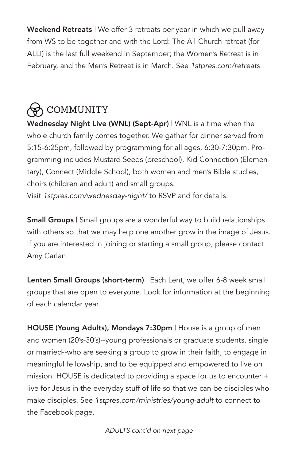Weekend Retreats | We offer 3 retreats per year in which we pull away from WS to be together and with the Lord: The All-Church retreat (for ALL!) is the last full weekend in September; the Women's Retreat is in February, and the Men's Retreat is in March. See 1stpres.com/retreats

## **B** COMMUNITY

Wednesday Night Live (WNL) (Sept-Apr) | WNL is a time when the whole church family comes together. We gather for dinner served from 5:15-6:25pm, followed by programming for all ages, 6:30-7:30pm. Programming includes Mustard Seeds (preschool), Kid Connection (Elementary), Connect (Middle School), both women and men's Bible studies, choirs (children and adult) and small groups.

Visit 1stpres.com/wednesday-night/ to RSVP and for details.

Small Groups | Small groups are a wonderful way to build relationships with others so that we may help one another grow in the image of Jesus. If you are interested in joining or starting a small group, please contact Amy Carlan.

Lenten Small Groups (short-term) | Each Lent, we offer 6-8 week small groups that are open to everyone. Look for information at the beginning of each calendar year.

HOUSE (Young Adults), Mondays 7:30pm | House is a group of men and women (20's-30's)--young professionals or graduate students, single or married--who are seeking a group to grow in their faith, to engage in meaningful fellowship, and to be equipped and empowered to live on mission. HOUSE is dedicated to providing a space for us to encounter + live for Jesus in the everyday stuff of life so that we can be disciples who make disciples. See 1stpres.com/ministries/young-adult to connect to the Facebook page.

ADULTS cont'd on next page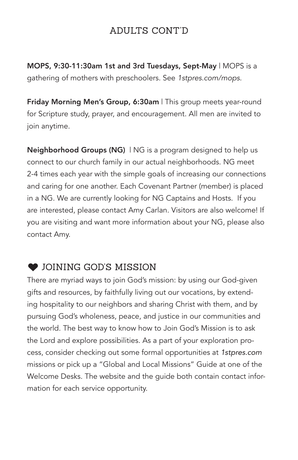### ADULTS CONT'D

MOPS, 9:30-11:30am 1st and 3rd Tuesdays, Sept-May | MOPS is a gathering of mothers with preschoolers. See 1stpres.com/mops.

Friday Morning Men's Group, 6:30am | This group meets year-round for Scripture study, prayer, and encouragement. All men are invited to join anytime.

**Neighborhood Groups (NG)** ING is a program designed to help us connect to our church family in our actual neighborhoods. NG meet 2-4 times each year with the simple goals of increasing our connections and caring for one another. Each Covenant Partner (member) is placed in a NG. We are currently looking for NG Captains and Hosts. If you are interested, please contact Amy Carlan. Visitors are also welcome! If you are visiting and want more information about your NG, please also contact Amy.

#### **COINING GOD'S MISSION**

There are myriad ways to join God's mission: by using our God-given gifts and resources, by faithfully living out our vocations, by extending hospitality to our neighbors and sharing Christ with them, and by pursuing God's wholeness, peace, and justice in our communities and the world. The best way to know how to Join God's Mission is to ask the Lord and explore possibilities. As a part of your exploration process, consider checking out some formal opportunities at 1stpres.com missions or pick up a "Global and Local Missions" Guide at one of the Welcome Desks. The website and the guide both contain contact information for each service opportunity.